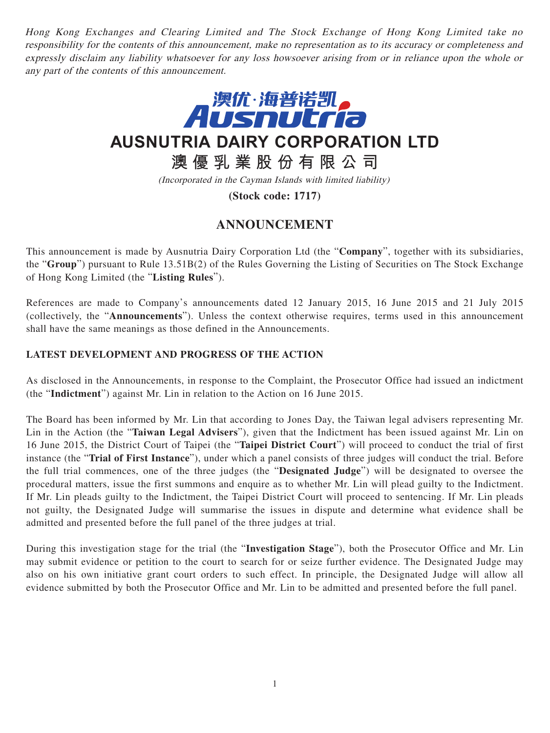Hong Kong Exchanges and Clearing Limited and The Stock Exchange of Hong Kong Limited take no responsibility for the contents of this announcement, make no representation as to its accuracy or completeness and expressly disclaim any liability whatsoever for any loss howsoever arising from or in reliance upon the whole or any part of the contents of this announcement.



**AUSNUTRIA DAIRY CORPORATION LTD**

**澳優乳業股份有限公司**

(Incorporated in the Cayman Islands with limited liability)

**(Stock code: 1717)**

# **ANNOUNCEMENT**

This announcement is made by Ausnutria Dairy Corporation Ltd (the "**Company**", together with its subsidiaries, the "**Group**") pursuant to Rule 13.51B(2) of the Rules Governing the Listing of Securities on The Stock Exchange of Hong Kong Limited (the "**Listing Rules**").

References are made to Company's announcements dated 12 January 2015, 16 June 2015 and 21 July 2015 (collectively, the "**Announcements**"). Unless the context otherwise requires, terms used in this announcement shall have the same meanings as those defined in the Announcements.

## **LATEST DEVELOPMENT AND PROGRESS OF THE ACTION**

As disclosed in the Announcements, in response to the Complaint, the Prosecutor Office had issued an indictment (the "**Indictment**") against Mr. Lin in relation to the Action on 16 June 2015.

The Board has been informed by Mr. Lin that according to Jones Day, the Taiwan legal advisers representing Mr. Lin in the Action (the "**Taiwan Legal Advisers**"), given that the Indictment has been issued against Mr. Lin on 16 June 2015, the District Court of Taipei (the "**Taipei District Court**") will proceed to conduct the trial of first instance (the "**Trial of First Instance**"), under which a panel consists of three judges will conduct the trial. Before the full trial commences, one of the three judges (the "**Designated Judge**") will be designated to oversee the procedural matters, issue the first summons and enquire as to whether Mr. Lin will plead guilty to the Indictment. If Mr. Lin pleads guilty to the Indictment, the Taipei District Court will proceed to sentencing. If Mr. Lin pleads not guilty, the Designated Judge will summarise the issues in dispute and determine what evidence shall be admitted and presented before the full panel of the three judges at trial.

During this investigation stage for the trial (the "**Investigation Stage**"), both the Prosecutor Office and Mr. Lin may submit evidence or petition to the court to search for or seize further evidence. The Designated Judge may also on his own initiative grant court orders to such effect. In principle, the Designated Judge will allow all evidence submitted by both the Prosecutor Office and Mr. Lin to be admitted and presented before the full panel.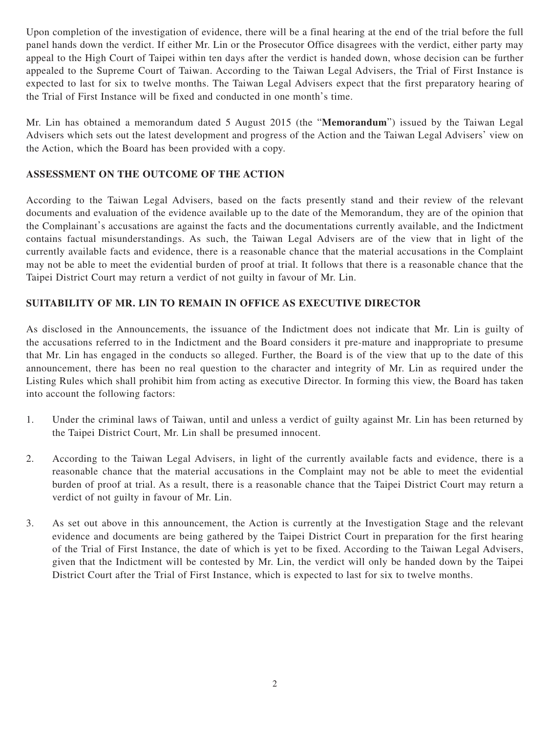Upon completion of the investigation of evidence, there will be a final hearing at the end of the trial before the full panel hands down the verdict. If either Mr. Lin or the Prosecutor Office disagrees with the verdict, either party may appeal to the High Court of Taipei within ten days after the verdict is handed down, whose decision can be further appealed to the Supreme Court of Taiwan. According to the Taiwan Legal Advisers, the Trial of First Instance is expected to last for six to twelve months. The Taiwan Legal Advisers expect that the first preparatory hearing of the Trial of First Instance will be fixed and conducted in one month's time.

Mr. Lin has obtained a memorandum dated 5 August 2015 (the "**Memorandum**") issued by the Taiwan Legal Advisers which sets out the latest development and progress of the Action and the Taiwan Legal Advisers' view on the Action, which the Board has been provided with a copy.

## **ASSESSMENT ON THE OUTCOME OF THE ACTION**

According to the Taiwan Legal Advisers, based on the facts presently stand and their review of the relevant documents and evaluation of the evidence available up to the date of the Memorandum, they are of the opinion that the Complainant's accusations are against the facts and the documentations currently available, and the Indictment contains factual misunderstandings. As such, the Taiwan Legal Advisers are of the view that in light of the currently available facts and evidence, there is a reasonable chance that the material accusations in the Complaint may not be able to meet the evidential burden of proof at trial. It follows that there is a reasonable chance that the Taipei District Court may return a verdict of not guilty in favour of Mr. Lin.

### **SUITABILITY OF MR. LIN TO REMAIN IN OFFICE AS EXECUTIVE DIRECTOR**

As disclosed in the Announcements, the issuance of the Indictment does not indicate that Mr. Lin is guilty of the accusations referred to in the Indictment and the Board considers it pre-mature and inappropriate to presume that Mr. Lin has engaged in the conducts so alleged. Further, the Board is of the view that up to the date of this announcement, there has been no real question to the character and integrity of Mr. Lin as required under the Listing Rules which shall prohibit him from acting as executive Director. In forming this view, the Board has taken into account the following factors:

- 1. Under the criminal laws of Taiwan, until and unless a verdict of guilty against Mr. Lin has been returned by the Taipei District Court, Mr. Lin shall be presumed innocent.
- 2. According to the Taiwan Legal Advisers, in light of the currently available facts and evidence, there is a reasonable chance that the material accusations in the Complaint may not be able to meet the evidential burden of proof at trial. As a result, there is a reasonable chance that the Taipei District Court may return a verdict of not guilty in favour of Mr. Lin.
- 3. As set out above in this announcement, the Action is currently at the Investigation Stage and the relevant evidence and documents are being gathered by the Taipei District Court in preparation for the first hearing of the Trial of First Instance, the date of which is yet to be fixed. According to the Taiwan Legal Advisers, given that the Indictment will be contested by Mr. Lin, the verdict will only be handed down by the Taipei District Court after the Trial of First Instance, which is expected to last for six to twelve months.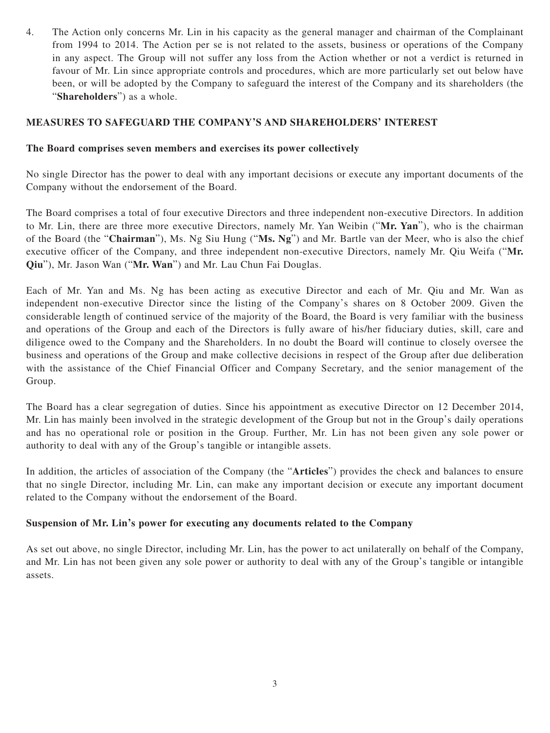4. The Action only concerns Mr. Lin in his capacity as the general manager and chairman of the Complainant from 1994 to 2014. The Action per se is not related to the assets, business or operations of the Company in any aspect. The Group will not suffer any loss from the Action whether or not a verdict is returned in favour of Mr. Lin since appropriate controls and procedures, which are more particularly set out below have been, or will be adopted by the Company to safeguard the interest of the Company and its shareholders (the "**Shareholders**") as a whole.

### **MEASURES TO SAFEGUARD THE COMPANY'S AND SHAREHOLDERS' INTEREST**

#### **The Board comprises seven members and exercises its power collectively**

No single Director has the power to deal with any important decisions or execute any important documents of the Company without the endorsement of the Board.

The Board comprises a total of four executive Directors and three independent non-executive Directors. In addition to Mr. Lin, there are three more executive Directors, namely Mr. Yan Weibin ("**Mr. Yan**"), who is the chairman of the Board (the "**Chairman**"), Ms. Ng Siu Hung ("**Ms. Ng**") and Mr. Bartle van der Meer, who is also the chief executive officer of the Company, and three independent non-executive Directors, namely Mr. Qiu Weifa ("**Mr. Qiu**"), Mr. Jason Wan ("**Mr. Wan**") and Mr. Lau Chun Fai Douglas.

Each of Mr. Yan and Ms. Ng has been acting as executive Director and each of Mr. Qiu and Mr. Wan as independent non-executive Director since the listing of the Company's shares on 8 October 2009. Given the considerable length of continued service of the majority of the Board, the Board is very familiar with the business and operations of the Group and each of the Directors is fully aware of his/her fiduciary duties, skill, care and diligence owed to the Company and the Shareholders. In no doubt the Board will continue to closely oversee the business and operations of the Group and make collective decisions in respect of the Group after due deliberation with the assistance of the Chief Financial Officer and Company Secretary, and the senior management of the Group.

The Board has a clear segregation of duties. Since his appointment as executive Director on 12 December 2014, Mr. Lin has mainly been involved in the strategic development of the Group but not in the Group's daily operations and has no operational role or position in the Group. Further, Mr. Lin has not been given any sole power or authority to deal with any of the Group's tangible or intangible assets.

In addition, the articles of association of the Company (the "**Articles**") provides the check and balances to ensure that no single Director, including Mr. Lin, can make any important decision or execute any important document related to the Company without the endorsement of the Board.

#### **Suspension of Mr. Lin's power for executing any documents related to the Company**

As set out above, no single Director, including Mr. Lin, has the power to act unilaterally on behalf of the Company, and Mr. Lin has not been given any sole power or authority to deal with any of the Group's tangible or intangible assets.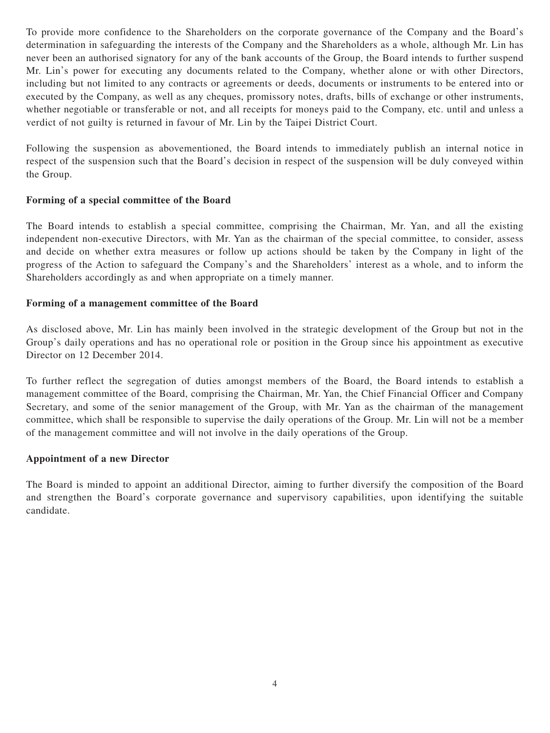To provide more confidence to the Shareholders on the corporate governance of the Company and the Board's determination in safeguarding the interests of the Company and the Shareholders as a whole, although Mr. Lin has never been an authorised signatory for any of the bank accounts of the Group, the Board intends to further suspend Mr. Lin's power for executing any documents related to the Company, whether alone or with other Directors, including but not limited to any contracts or agreements or deeds, documents or instruments to be entered into or executed by the Company, as well as any cheques, promissory notes, drafts, bills of exchange or other instruments, whether negotiable or transferable or not, and all receipts for moneys paid to the Company, etc. until and unless a verdict of not guilty is returned in favour of Mr. Lin by the Taipei District Court.

Following the suspension as abovementioned, the Board intends to immediately publish an internal notice in respect of the suspension such that the Board's decision in respect of the suspension will be duly conveyed within the Group.

#### **Forming of a special committee of the Board**

The Board intends to establish a special committee, comprising the Chairman, Mr. Yan, and all the existing independent non-executive Directors, with Mr. Yan as the chairman of the special committee, to consider, assess and decide on whether extra measures or follow up actions should be taken by the Company in light of the progress of the Action to safeguard the Company's and the Shareholders' interest as a whole, and to inform the Shareholders accordingly as and when appropriate on a timely manner.

#### **Forming of a management committee of the Board**

As disclosed above, Mr. Lin has mainly been involved in the strategic development of the Group but not in the Group's daily operations and has no operational role or position in the Group since his appointment as executive Director on 12 December 2014.

To further reflect the segregation of duties amongst members of the Board, the Board intends to establish a management committee of the Board, comprising the Chairman, Mr. Yan, the Chief Financial Officer and Company Secretary, and some of the senior management of the Group, with Mr. Yan as the chairman of the management committee, which shall be responsible to supervise the daily operations of the Group. Mr. Lin will not be a member of the management committee and will not involve in the daily operations of the Group.

#### **Appointment of a new Director**

The Board is minded to appoint an additional Director, aiming to further diversify the composition of the Board and strengthen the Board's corporate governance and supervisory capabilities, upon identifying the suitable candidate.